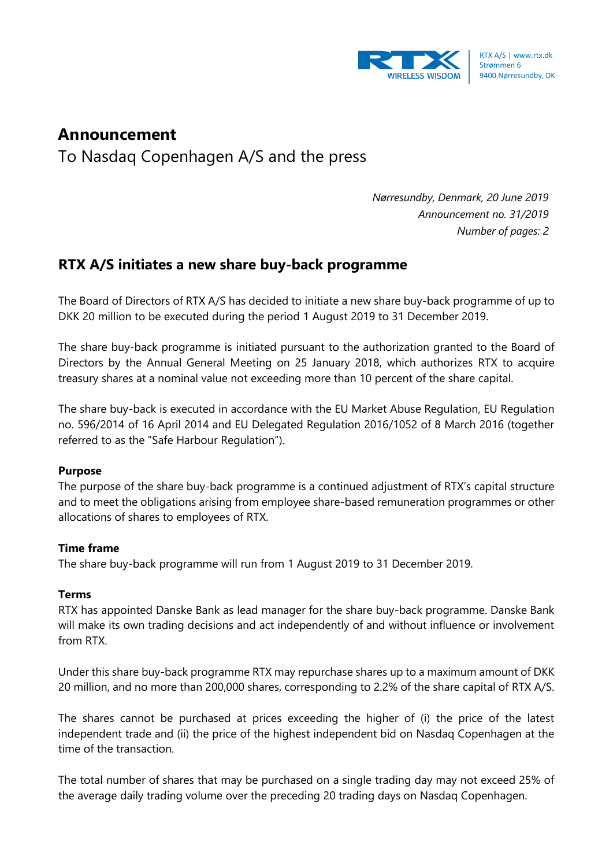

# **Announcement**

To Nasdaq Copenhagen A/S and the press

*Nørresundby, Denmark, 20 June 2019 Announcement no. 31/2019 Number of pages: 2*

## **RTX A/S initiates a new share buy-back programme**

The Board of Directors of RTX A/S has decided to initiate a new share buy-back programme of up to DKK 20 million to be executed during the period 1 August 2019 to 31 December 2019.

The share buy-back programme is initiated pursuant to the authorization granted to the Board of Directors by the Annual General Meeting on 25 January 2018, which authorizes RTX to acquire treasury shares at a nominal value not exceeding more than 10 percent of the share capital.

The share buy-back is executed in accordance with the EU Market Abuse Regulation, EU Regulation no. 596/2014 of 16 April 2014 and EU Delegated Regulation 2016/1052 of 8 March 2016 (together referred to as the "Safe Harbour Regulation").

### **Purpose**

The purpose of the share buy-back programme is a continued adjustment of RTX's capital structure and to meet the obligations arising from employee share-based remuneration programmes or other allocations of shares to employees of RTX.

### **Time frame**

The share buy-back programme will run from 1 August 2019 to 31 December 2019.

### **Terms**

RTX has appointed Danske Bank as lead manager for the share buy-back programme. Danske Bank will make its own trading decisions and act independently of and without influence or involvement from RTX.

Under this share buy-back programme RTX may repurchase shares up to a maximum amount of DKK 20 million, and no more than 200,000 shares, corresponding to 2.2% of the share capital of RTX A/S.

The shares cannot be purchased at prices exceeding the higher of (i) the price of the latest independent trade and (ii) the price of the highest independent bid on Nasdaq Copenhagen at the time of the transaction.

The total number of shares that may be purchased on a single trading day may not exceed 25% of the average daily trading volume over the preceding 20 trading days on Nasdaq Copenhagen.